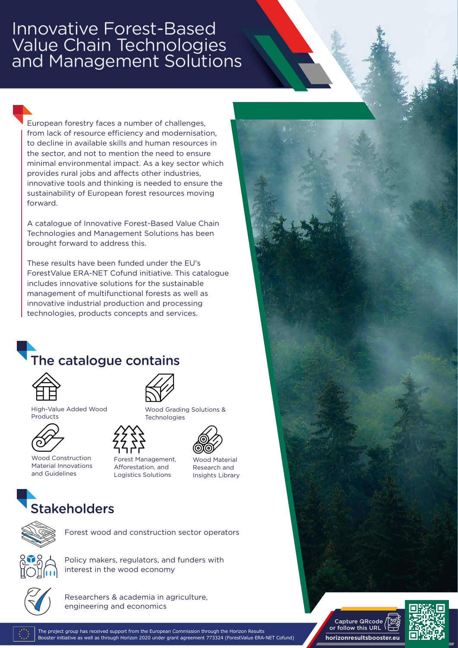## Innovative Forest-Based Value Chain Technologies and Management Solutions

European forestry faces a number of challenges, from lack of resource efficiency and modernisation, to decline in available skills and human resources in the sector, and not to mention the need to ensure minimal environmental impact. As a key sector which provides rural jobs and affects other industries, innovative tools and thinking is needed to ensure the sustainability of European forest resources moving forward.

A catalogue of Innovative Forest-Based Value Chain Technologies and Management Solutions has been brought forward to address this.

These results have been funded under the EU's ForestValue ERA-NET Cofund initiative. This catalogue includes innovative solutions for the sustainable management of multifunctional forests as well as innovative industrial production and processing technologies, products concepts and services.

## The catalogue contains



High-Value Added Wood Products



Wood Construction Material Innovations and Guidelines



Wood Grading Solutions & **Technologies** 





Forest Management, Afforestation, and Logistics Solutions

Wood Material Research and Insights Library

## **Stakeholders**



Forest wood and construction sector operators



Policy makers, regulators, and funders with interest in the wood economy



Researchers & academia in agriculture, engineering and economics

The project group has received support from the European Commission through the Horizon Results Booster initiative as well as through Horizon 2020 under grant agreement 773324 (ForestValue ERA-NET Cofund)